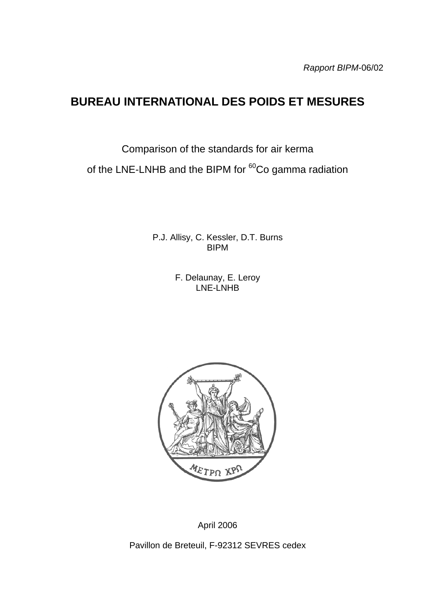# **BUREAU INTERNATIONAL DES POIDS ET MESURES**

Comparison of the standards for air kerma

of the LNE-LNHB and the BIPM for <sup>60</sup>Co gamma radiation

P.J. Allisy, C. Kessler, D.T. Burns BIPM

> F. Delaunay, E. Leroy LNE-LNHB



April 2006

Pavillon de Breteuil, F-92312 SEVRES cedex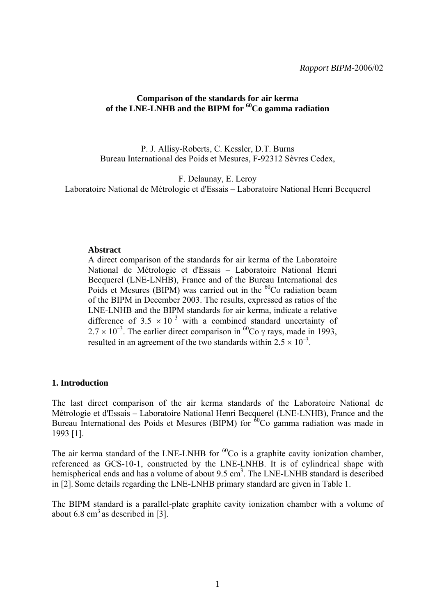#### **Comparison of the standards for air kerma**  of the LNE-LNHB and the BIPM for <sup>60</sup>Co gamma radiation

P. J. Allisy-Roberts, C. Kessler, D.T. Burns Bureau International des Poids et Mesures, F-92312 Sèvres Cedex,

F. Delaunay, E. Leroy

Laboratoire National de Métrologie et d'Essais – Laboratoire National Henri Becquerel

#### **Abstract**

A direct comparison of the standards for air kerma of the Laboratoire National de Métrologie et d'Essais – Laboratoire National Henri Becquerel (LNE-LNHB), France and of the Bureau International des Poids et Mesures (BIPM) was carried out in the  ${}^{60}Co$  radiation beam of the BIPM in December 2003. The results, expressed as ratios of the LNE-LNHB and the BIPM standards for air kerma, indicate a relative difference of 3.5  $\times$  10<sup>-3</sup> with a combined standard uncertainty of  $2.7 \times 10^{-3}$ . The earlier direct comparison in <sup>60</sup>Co  $\gamma$  rays, made in 1993, resulted in an agreement of the two standards within  $2.5 \times 10^{-3}$ .

#### **1. Introduction**

The last direct comparison of the air kerma standards of the Laboratoire National de Métrologie et d'Essais – Laboratoire National Henri Becquerel (LNE-LNHB), France and the Bureau International des Poids et Mesures (BIPM) for  ${}^{60}Co$  gamma radiation was made in 1993 [1].

The air kerma standard of the LNE-LNHB for  ${}^{60}Co$  is a graphite cavity ionization chamber, referenced as GCS-10-1, constructed by the LNE-LNHB. It is of cylindrical shape with hemispherical ends and has a volume of about 9.5 cm<sup>3</sup>. The LNE-LNHB standard is described in [2]. Some details regarding the LNE-LNHB primary standard are given in Table 1.

The BIPM standard is a parallel-plate graphite cavity ionization chamber with a volume of about 6.8  $\text{cm}^3$  as described in [3].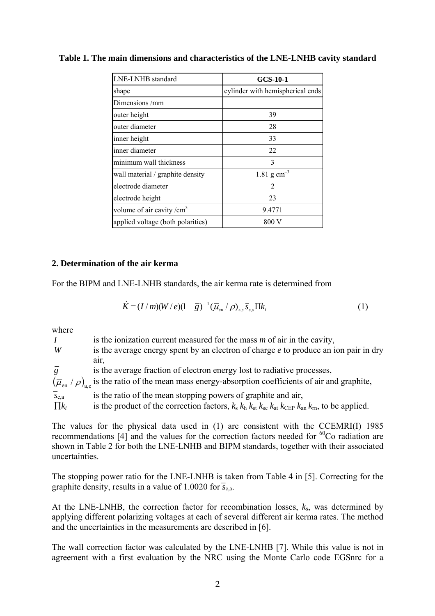| LNE-LNHB standard                 | <b>GCS-10-1</b>                  |
|-----------------------------------|----------------------------------|
| shape                             | cylinder with hemispherical ends |
| Dimensions/mm                     |                                  |
| outer height                      | 39                               |
| outer diameter                    | 28                               |
| inner height                      | 33                               |
| inner diameter                    | 22                               |
| minimum wall thickness            | 3                                |
| wall material / graphite density  | 1.81 $\rm g \, cm^{-3}$          |
| electrode diameter                | $\overline{2}$                   |
| electrode height                  | 23                               |
| volume of air cavity / $cm3$      | 9.4771                           |
| applied voltage (both polarities) | 800 V                            |

**Table 1. The main dimensions and characteristics of the LNE-LNHB cavity standard** 

### **2. Determination of the air kerma**

For the BIPM and LNE-LNHB standards, the air kerma rate is determined from

$$
\dot{K} = (I/m)(W/e)(1-\overline{g})^{-1}(\overline{\mu}_{\text{en}}/\rho)_{\text{a,e}}\overline{s}_{\text{c,a}}\Pi k_i
$$
\n(1)

where

*I* is the ionization current measured for the mass *m* of air in the cavity, *W* is the average energy spent by an electron of charge *e* to produce an ion pair in dry air, *g* is the average fraction of electron energy lost to radiative processes,  $(\overline{\mu}_{en} / \rho)_{a \text{ c}}$  is the ratio of the mean mass energy-absorption coefficients of air and graphite,  $\overline{s}_{c,a}$  is the ratio of the mean stopping powers of graphite and air,  $\prod k_i$  is the product of the correction factors,  $k_s$   $k_h$   $k_{st}$   $k_{sc}$   $k_{at}$   $k_{CFP}$   $k_{an}$   $k_{rn}$ , to be applied.

The values for the physical data used in (1) are consistent with the CCEMRI(I) 1985 recommendations  $[4]$  and the values for the correction factors needed for <sup>60</sup>Co radiation are shown in Table 2 for both the LNE-LNHB and BIPM standards, together with their associated uncertainties.

The stopping power ratio for the LNE-LNHB is taken from Table 4 in [5]. Correcting for the graphite density, results in a value of 1.0020 for  $\overline{s_{c,a}}$ .

At the LNE-LNHB, the correction factor for recombination losses, *k*s, was determined by applying different polarizing voltages at each of several different air kerma rates. The method and the uncertainties in the measurements are described in [6].

The wall correction factor was calculated by the LNE-LNHB [7]. While this value is not in agreement with a first evaluation by the NRC using the Monte Carlo code EGSnrc for a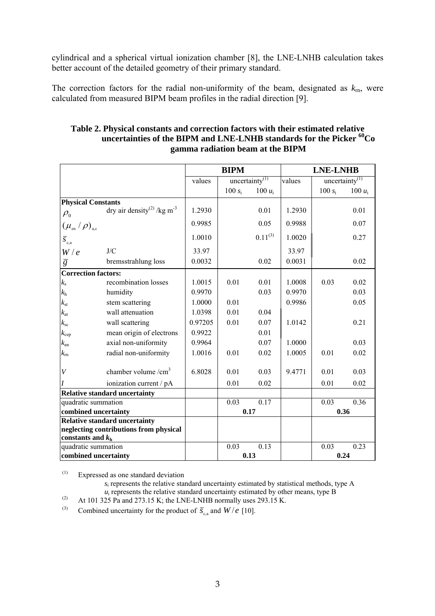cylindrical and a spherical virtual ionization chamber [8], the LNE-LNHB calculation takes better account of the detailed geometry of their primary standard.

The correction factors for the radial non-uniformity of the beam, designated as  $k_{\text{m}}$ , were calculated from measured BIPM beam profiles in the radial direction [9].

|                                                                 |                                                    |         | <b>BIPM</b> |                            |        | <b>LNE-LNHB</b> |                   |
|-----------------------------------------------------------------|----------------------------------------------------|---------|-------------|----------------------------|--------|-----------------|-------------------|
|                                                                 |                                                    | values  |             | uncertainty <sup>(1)</sup> | values |                 | uncertainty $(1)$ |
|                                                                 |                                                    |         | 100 $s_i$   | 100 $u_i$                  |        | 100 $s_i$       | 100 $u_i$         |
| <b>Physical Constants</b>                                       |                                                    |         |             |                            |        |                 |                   |
| $\rho_{\scriptscriptstyle 0}$                                   | dry air density <sup>(2)</sup> /kg m <sup>-3</sup> | 1.2930  |             | 0.01                       | 1.2930 |                 | 0.01              |
| $(\mu_{\scriptscriptstyle en} / \rho)_{\scriptscriptstyle a,c}$ |                                                    | 0.9985  |             | 0.05                       | 0.9988 |                 | 0.07              |
| $\overline{S}_{c,a}$                                            |                                                    | 1.0010  |             | $0.11^{(3)}$               | 1.0020 |                 | 0.27              |
| W/e                                                             | J/C                                                | 33.97   |             |                            | 33.97  |                 |                   |
| $\overline{g}$                                                  | bremsstrahlung loss                                | 0.0032  |             | 0.02                       | 0.0031 |                 | 0.02              |
| <b>Correction factors:</b>                                      |                                                    |         |             |                            |        |                 |                   |
| $k_{\rm s}$                                                     | recombination losses                               | 1.0015  | 0.01        | 0.01                       | 1.0008 | 0.03            | 0.02              |
| $k_{\rm h}$                                                     | humidity                                           | 0.9970  |             | 0.03                       | 0.9970 |                 | 0.03              |
| $k_{\rm st}$                                                    | stem scattering                                    | 1.0000  | 0.01        |                            | 0.9986 |                 | 0.05              |
| $k_{\rm at}$                                                    | wall attenuation                                   | 1.0398  | 0.01        | 0.04                       |        |                 |                   |
| $k_{\rm sc}$                                                    | wall scattering                                    | 0.97205 | 0.01        | 0.07                       | 1.0142 |                 | 0.21              |
| $k_{\rm cep}$                                                   | mean origin of electrons                           | 0.9922  |             | 0.01                       |        |                 |                   |
| $k_{\rm an}$                                                    | axial non-uniformity                               | 0.9964  |             | 0.07                       | 1.0000 |                 | 0.03              |
| $k_{\rm m}$                                                     | radial non-uniformity                              | 1.0016  | 0.01        | 0.02                       | 1.0005 | 0.01            | 0.02              |
| $\boldsymbol{V}$                                                | chamber volume $/cm3$                              | 6.8028  | 0.01        | 0.03                       | 9.4771 | 0.01            | 0.03              |
| $\overline{I}$                                                  | ionization current / pA                            |         | 0.01        | 0.02                       |        | 0.01            | 0.02              |

quadratic summation 0.03 0.17 0.03 0.36 **combined uncertainty 1 1 0.17 1 1 0.36** 

quadratic summation  $0.03 \t 0.13 \t 0.03 \t 0.23$ **combined uncertainty**  $\vert$  **0.13**  $\vert$  **0.24 0.24** 

### **Table 2. Physical constants and correction factors with their estimated relative uncertainties of the BIPM and LNE-LNHB standards for the Picker 60Co gamma radiation beam at the BIPM**

(1) Expressed as one standard deviation

**neglecting contributions from physical** 

**Relative standard uncertainty**

**constants and** *k***<sup>h</sup>**

*s*i represents the relative standard uncertainty estimated by statistical methods, type A *u*<sub>i</sub> represents the relative standard uncertainty estimated by other means, type B<sup>(2)</sup>  $\Delta t$  101 325 Pa and 273 15 K; the LNE-LNHB pormally uses 293 15 K

- (2) At 101 325 Pa and 273.15 K; the LNE-LNHB normally uses 293.15 K.
- (3) Combined uncertainty for the product of  $\overline{S}_{\alpha}$  and  $W/e$  [10].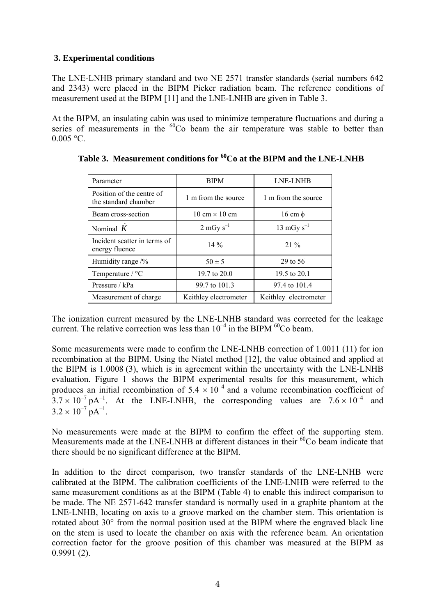# **3. Experimental conditions**

The LNE-LNHB primary standard and two NE 2571 transfer standards (serial numbers 642 and 2343) were placed in the BIPM Picker radiation beam. The reference conditions of measurement used at the BIPM [11] and the LNE-LNHB are given in Table 3.

At the BIPM, an insulating cabin was used to minimize temperature fluctuations and during a series of measurements in the <sup>60</sup>Co beam the air temperature was stable to better than  $0.005 °C$ .

| Parameter                                         | <b>BIPM</b>                          | <b>LNE-LNHB</b>       |
|---------------------------------------------------|--------------------------------------|-----------------------|
| Position of the centre of<br>the standard chamber | 1 m from the source                  | 1 m from the source   |
| Beam cross-section                                | $10 \text{ cm} \times 10 \text{ cm}$ | $16 \text{ cm} \phi$  |
| Nominal $K$                                       | $2 \text{ mGy s}^{-1}$               | 13 mGy $s^{-1}$       |
| Incident scatter in terms of<br>energy fluence    | $14\%$                               | $21\%$                |
| Humidity range $\frac{9}{6}$                      | $50 \pm 5$                           | 29 to 56              |
| Temperature $/$ °C                                | 19.7 to $20.0$                       | 19.5 to 20.1          |
| Pressure / kPa                                    | 99.7 to 101.3                        | 97.4 to 101.4         |
| Measurement of charge.                            | Keithley electrometer                | Keithley electrometer |

Table 3. Measurement conditions for <sup>60</sup>Co at the BIPM and the LNE-LNHB

The ionization current measured by the LNE-LNHB standard was corrected for the leakage current. The relative correction was less than  $10^{-4}$  in the BIPM  $^{60}$ Co beam.

Some measurements were made to confirm the LNE-LNHB correction of 1.0011 (11) for ion recombination at the BIPM. Using the Niatel method [12], the value obtained and applied at the BIPM is 1.0008 (3), which is in agreement within the uncertainty with the LNE-LNHB evaluation. Figure 1 shows the BIPM experimental results for this measurement, which produces an initial recombination of  $5.4 \times 10^{-4}$  and a volume recombination coefficient of  $3.7 \times 10^{-7}$  pA<sup>-1</sup>. At the LNE-LNHB, the corresponding values are  $7.6 \times 10^{-4}$  and  $3.2 \times 10^{-7}$  pA<sup>-1</sup>.

No measurements were made at the BIPM to confirm the effect of the supporting stem. Measurements made at the LNE-LNHB at different distances in their <sup>60</sup>Co beam indicate that there should be no significant difference at the BIPM.

In addition to the direct comparison, two transfer standards of the LNE-LNHB were calibrated at the BIPM. The calibration coefficients of the LNE-LNHB were referred to the same measurement conditions as at the BIPM (Table 4) to enable this indirect comparison to be made. The NE 2571-642 transfer standard is normally used in a graphite phantom at the LNE-LNHB, locating on axis to a groove marked on the chamber stem. This orientation is rotated about 30° from the normal position used at the BIPM where the engraved black line on the stem is used to locate the chamber on axis with the reference beam. An orientation correction factor for the groove position of this chamber was measured at the BIPM as 0.9991 (2).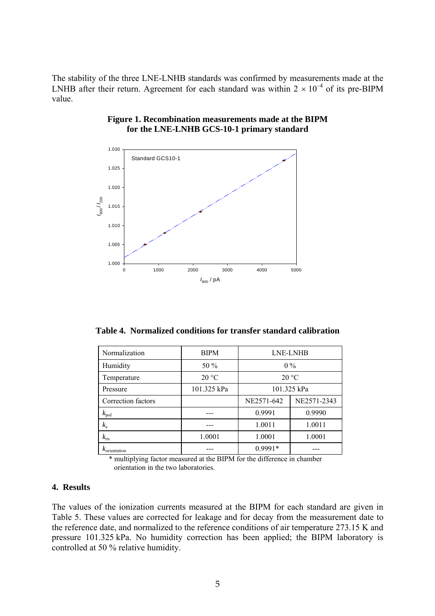The stability of the three LNE-LNHB standards was confirmed by measurements made at the LNHB after their return. Agreement for each standard was within  $2 \times 10^{-4}$  of its pre-BIPM value.



#### **Figure 1. Recombination measurements made at the BIPM for the LNE-LNHB GCS-10-1 primary standard**

**Table 4. Normalized conditions for transfer standard calibration** 

| Normalization            | <b>BIPM</b> | <b>LNE-LNHB</b>           |        |  |
|--------------------------|-------------|---------------------------|--------|--|
| Humidity                 | 50 %        | $0\%$                     |        |  |
| Temperature              | 20 °C       | 20 °C                     |        |  |
| Pressure                 | 101.325 kPa | 101.325 kPa               |        |  |
| Correction factors       |             | NE2571-2343<br>NE2571-642 |        |  |
| $k_{\rm pol}$            |             | 0.9991                    | 0.9990 |  |
| $k_{\rm s}$              |             | 1.0011                    | 1.0011 |  |
| $k_{\rm rn}$             | 1.0001      | 1.0001<br>1.0001          |        |  |
| $k_{\text{orientation}}$ |             | 0.9991*                   |        |  |

\* multiplying factor measured at the BIPM for the difference in chamber orientation in the two laboratories.

# **4. Results**

The values of the ionization currents measured at the BIPM for each standard are given in Table 5. These values are corrected for leakage and for decay from the measurement date to the reference date, and normalized to the reference conditions of air temperature 273.15 K and pressure 101.325 kPa. No humidity correction has been applied; the BIPM laboratory is controlled at 50 % relative humidity.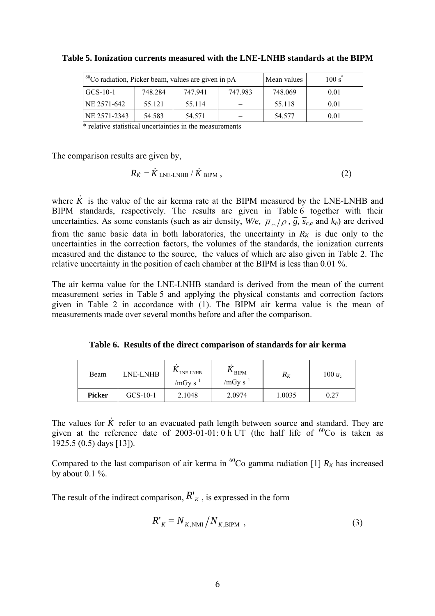| $1^{60}$ Co radiation, Picker beam, values are given in pA |         |         | Mean values | 100 s <sup>3</sup> |      |
|------------------------------------------------------------|---------|---------|-------------|--------------------|------|
| $GCS-10-1$                                                 | 748.284 | 747 941 | 747 983     | 748.069            | 0.01 |
| NE 2571-642                                                | 55.121  | 55.114  |             | 55.118             | 0.01 |
| NE 2571-2343                                               | 54.583  | 54.571  |             | 54.577             | 0.01 |

**Table 5. Ionization currents measured with the LNE-LNHB standards at the BIPM** 

\* relative statistical uncertainties in the measurements

The comparison results are given by,

$$
R_{\dot{K}} = \dot{K}_{\text{LNE-LNHB}} / \dot{K}_{\text{BIPM}} ,
$$
 (2)

where *K .* is the value of the air kerma rate at the BIPM measured by the LNE-LNHB and BIPM standards, respectively. The results are given in Table 6 together with their uncertainties. As some constants (such as air density,  $W/e$ ,  $\overline{\mu}_{m}/\rho$ ,  $\overline{g}$ ,  $\overline{s}_{c,a}$  and  $k_h$ ) are derived from the same basic data in both laboratories, the uncertainty in  $R_K$  is due only to the uncertainties in the correction factors, the volumes of the standards, the ionization currents measured and the distance to the source, the values of which are also given in Table 2. The relative uncertainty in the position of each chamber at the BIPM is less than 0.01 %.

The air kerma value for the LNE-LNHB standard is derived from the mean of the current measurement series in Table 5 and applying the physical constants and correction factors given in Table 2 in accordance with (1). The BIPM air kerma value is the mean of measurements made over several months before and after the comparison.

**Table 6. Results of the direct comparison of standards for air kerma** 

| Beam          | ME-LNHB    | <b>ALLINE-LNHB</b><br>$/mGy s^{-1}$ | $\mathbf{A}$ BIPM<br>$/mGy s^{-1}$ | $R_K$  | $100 u_c$ |
|---------------|------------|-------------------------------------|------------------------------------|--------|-----------|
| <b>Picker</b> | $GCS-10-1$ | 2.1048                              | 2.0974                             | 1.0035 | 0.27      |

The values for *K .* refer to an evacuated path length between source and standard. They are given at the reference date of 2003-01-01: 0 h UT (the half life of  ${}^{60}Co$  is taken as 1925.5 (0.5) days [13]).

Compared to the last comparison of air kerma in <sup>60</sup>Co gamma radiation [1]  $R_K$  has increased by about  $0.1 \%$ .

The result of the indirect comparison,  $R^{\prime}_{K}$ , is expressed in the form

$$
R'_{K} = N_{K, \text{NMI}} / N_{K, \text{BIPM}} \tag{3}
$$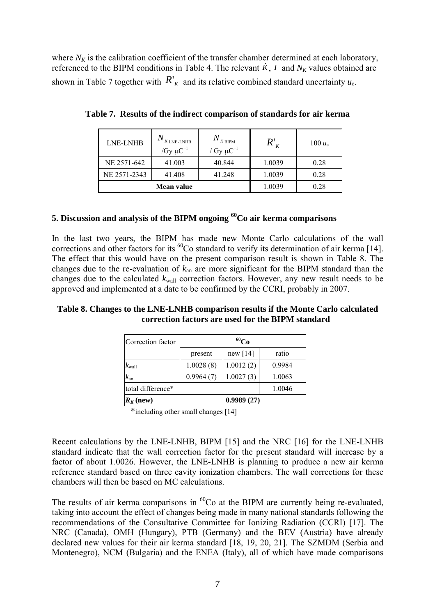where  $N_K$  is the calibration coefficient of the transfer chamber determined at each laboratory, referenced to the BIPM conditions in Table 4. The relevant  $\dot{K}$ , *I* and  $N_K$  values obtained are shown in Table 7 together with  $R'_{K}$  and its relative combined standard uncertainty  $u_{c}$ .

| <b>LNE-LNHB</b> | $K$ LNE-LNHB<br>/ $Gy \mu C^{-1}$ | $N_{\rm~K~BIPM}$<br>/ Gy $\mu$ C <sup>-1</sup> |        | 100 $u_c$ |
|-----------------|-----------------------------------|------------------------------------------------|--------|-----------|
| NE 2571-642     | 41.003                            | 40.844                                         | 1.0039 | 0.28      |
| NE 2571-2343    | 41.408                            | 41.248                                         | 1.0039 | 0.28      |
|                 | Mean value                        |                                                | 1.0039 | 0.28      |

**Table 7. Results of the indirect comparison of standards for air kerma** 

### **5. Discussion and analysis of the BIPM ongoing 60Co air kerma comparisons**

In the last two years, the BIPM has made new Monte Carlo calculations of the wall corrections and other factors for its <sup>60</sup>Co standard to verify its determination of air kerma [14]. The effect that this would have on the present comparison result is shown in Table 8. The changes due to the re-evaluation of *k*an are more significant for the BIPM standard than the changes due to the calculated  $k_{wall}$  correction factors. However, any new result needs to be approved and implemented at a date to be confirmed by the CCRI, probably in 2007.

### **Table 8. Changes to the LNE-LNHB comparison results if the Monte Carlo calculated correction factors are used for the BIPM standard**

| Correction factor | $^{60}Co$  |            |        |  |
|-------------------|------------|------------|--------|--|
|                   | present    | new $[14]$ | ratio  |  |
| $k_{\rm wall}$    | 1.0028(8)  | 1.0012(2)  | 0.9984 |  |
| $k_{\rm an}$      | 0.9964(7)  | 1.0027(3)  | 1.0063 |  |
| total difference* |            |            | 1.0046 |  |
| $R_K$ (new)       | 0.9989(27) |            |        |  |

\*including other small changes [14]

Recent calculations by the LNE-LNHB, BIPM [15] and the NRC [16] for the LNE-LNHB standard indicate that the wall correction factor for the present standard will increase by a factor of about 1.0026. However, the LNE-LNHB is planning to produce a new air kerma reference standard based on three cavity ionization chambers. The wall corrections for these chambers will then be based on MC calculations.

The results of air kerma comparisons in  ${}^{60}Co$  at the BIPM are currently being re-evaluated, taking into account the effect of changes being made in many national standards following the recommendations of the Consultative Committee for Ionizing Radiation (CCRI) [17]. The NRC (Canada), OMH (Hungary), PTB (Germany) and the BEV (Austria) have already declared new values for their air kerma standard [18, 19, 20, 21]. The SZMDM (Serbia and Montenegro), NCM (Bulgaria) and the ENEA (Italy), all of which have made comparisons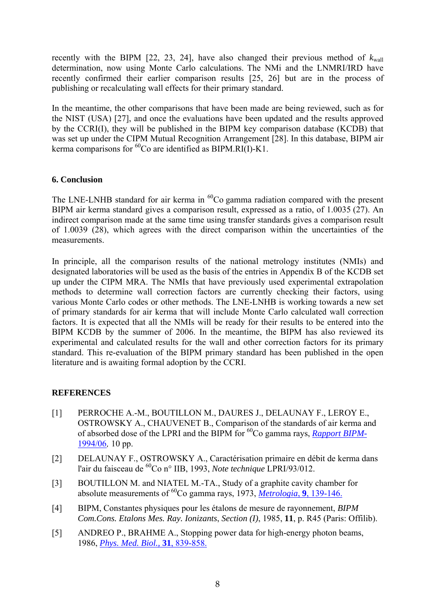recently with the BIPM [22, 23, 24], have also changed their previous method of  $k_{\text{wall}}$ determination, now using Monte Carlo calculations. The NMi and the LNMRI/IRD have recently confirmed their earlier comparison results [25, 26] but are in the process of publishing or recalculating wall effects for their primary standard.

In the meantime, the other comparisons that have been made are being reviewed, such as for the NIST (USA) [27], and once the evaluations have been updated and the results approved by the CCRI(I), they will be published in the BIPM key comparison database (KCDB) that was set up under the CIPM Mutual Recognition Arrangement [28]. In this database, BIPM air kerma comparisons for  ${}^{60}$ Co are identified as BIPM.RI(I)-K1.

### **6. Conclusion**

The LNE-LNHB standard for air kerma in  ${}^{60}Co$  gamma radiation compared with the present BIPM air kerma standard gives a comparison result, expressed as a ratio, of 1.0035 (27). An indirect comparison made at the same time using transfer standards gives a comparison result of 1.0039 (28), which agrees with the direct comparison within the uncertainties of the measurements.

In principle, all the comparison results of the national metrology institutes (NMIs) and designated laboratories will be used as the basis of the entries in Appendix B of the KCDB set up under the CIPM MRA. The NMIs that have previously used experimental extrapolation methods to determine wall correction factors are currently checking their factors, using various Monte Carlo codes or other methods. The LNE-LNHB is working towards a new set of primary standards for air kerma that will include Monte Carlo calculated wall correction factors. It is expected that all the NMIs will be ready for their results to be entered into the BIPM KCDB by the summer of 2006. In the meantime, the BIPM has also reviewed its experimental and calculated results for the wall and other correction factors for its primary standard. This re-evaluation of the BIPM primary standard has been published in the open literature and is awaiting formal adoption by the CCRI.

# **REFERENCES**

- [1] PERROCHE A.-M., BOUTILLON M., DAURES J., DELAUNAY F., LEROY E., OSTROWSKY A., CHAUVENET B., Comparison of the standards of air kerma and of absorbed dose of the LPRI and the BIPM for 60Co gamma rays, *[Rapport BIPM-](https://www.bipm.org/jsp/en/ViewBIPMReport.jsp?YEAR=1994&REP=06)*[1994/06](https://www.bipm.org/jsp/en/ViewBIPMReport.jsp?YEAR=1994&REP=06), 10 pp.
- [2] DELAUNAY F., OSTROWSKY A., Caractérisation primaire en débit de kerma dans l'air du faisceau de 60Co n° IIB, 1993, *Note technique* LPRI/93/012.
- [3] BOUTILLON M. and NIATEL M.-TA., Study of a graphite cavity chamber for absolute measurements of 60Co gamma rays, 1973, *[Metrologia](http://www.iop.org/EJ/abstract/0026-1394/9/4/001/)*, **9**, 139-146.
- [4] BIPM, Constantes physiques pour les étalons de mesure de rayonnement, *BIPM Com.Cons. Etalons Mes. Ray. Ionizants*, *Section (I)*, 1985, **11**, p. R45 (Paris: Offilib).
- [5] ANDREO P., BRAHME A., Stopping power data for high-energy photon beams, 1986, *[Phys. Med. Biol.,](http://ej.iop.org/links/q94/HkA9MdLfV0AMdwEP4S+JcA/pbv31i8p839.pdf)* **31**, 839-858.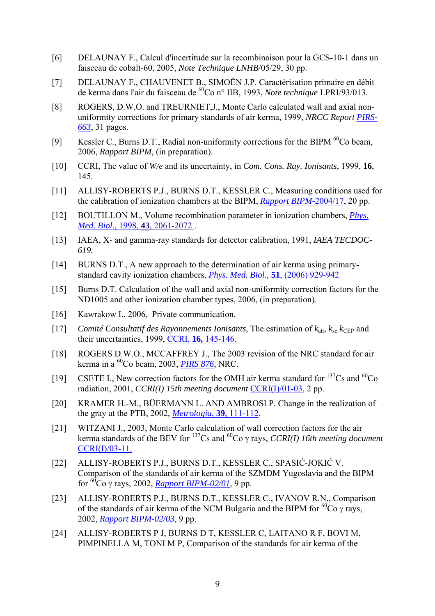- [6] DELAUNAY F., Calcul d'incertitude sur la recombinaison pour la GCS-10-1 dans un faisceau de cobalt-60, 2005, *Note Technique LNHB*/05/29, 30 pp.
- [7] DELAUNAY F., CHAUVENET B., SIMOËN J.P. Caractérisation primaire en débit de kerma dans l'air du faisceau de 60Co n° IIB, 1993, *Note technique* LPRI/93/013.
- [8] ROGERS, D.W.O. and TREURNIET, J., Monte Carlo calculated wall and axial nonuniformity corrections for primary standards of air kerma, 1999, *NRCC Report [PIRS-](http://www.irs.inms.nrc.ca/papers/PIRS663/pirs663.pdf)[663](http://www.irs.inms.nrc.ca/papers/PIRS663/pirs663.pdf)*, 31 pages.
- [9] Kessler C., Burns D.T., Radial non-uniformity corrections for the BIPM <sup>60</sup>Co beam, 2006, *Rapport BIPM,* (in preparation).
- [10] CCRI, The value of *W/e* and its uncertainty, in *Com. Cons. Ray. Ionisants*, 1999, **16**, 145.
- [11] ALLISY-ROBERTS P.J., BURNS D.T., KESSLER C., Measuring conditions used for the calibration of ionization chambers at the BIPM, *[Rapport BIPM-](https://www.bipm.org/utils/common/pdf/rapportBIPM/2004/17.pdf)*2004/17, 20 pp.
- [12] BOUTILLON M., Volume recombination parameter in ionization chambers, *[Phys.](http://stacks.iop.org/0031-9155/43/2061)  Med. Biol.,* 1998, **43**[, 2061-2072 .](http://stacks.iop.org/0031-9155/43/2061)
- [13] IAEA, X- and gamma-ray standards for detector calibration, 1991, *IAEA TECDOC-619.*
- [14] BURNS D.T., A new approach to the determination of air kerma using primarystandard cavity ionization chambers, *[Phys. Med. Biol.,](http://www.iop.org/EJ/abstract/0031-9155/51/4/012/)* **51**, (2006) 929-942
- [15] Burns D.T. Calculation of the wall and axial non-uniformity correction factors for the ND1005 and other ionization chamber types, 2006, (in preparation).
- [16] Kawrakow I., 2006, Private communication.
- [17] *Comité Consultatif des Rayonnements Ionisants, The estimation of*  $k_{\text{att}}$ *,*  $k_{\text{sc}}$  $k_{\text{CEP}}$  *and* their uncertainties, 1999, CCRI, **16,** [145-146.](https://www.bipm.org/en/committees/cc/ccri/publications_cc.html)
- [18] ROGERS D.W.O., MCCAFFREY J., The 2003 revision of the NRC standard for air kerma in a 60Co beam, 2003, *[PIRS 876](http://www.irs.inms.nrc.ca/inms/irs/papers/PIRS876/pirs876.pdf)*, NRC.
- [19] CSETE I., New correction factors for the OMH air kerma standard for  $^{137}Cs$  and  $^{60}Co$ radiation, 2001, *CCRI(I) 15th meeting document* [CCRI\(I\)/01-03,](https://www.bipm.org/cc/CCRI(I)/Allowed/15/CCRI(I)01-03.pdf) 2 pp.
- [20] KRAMER H.-M., BÜERMANN L. AND AMBROSI P. Change in the realization of the gray at the PTB, 2002, *[Metrologia](http://www.iop.org/EJ/abstract/0026-1394/39/1/15/)*, **39**, 111-112.
- [21] WITZANI J., 2003, Monte Carlo calculation of wall correction factors for the air kerma standards of the BEV for 137Cs and 60Co γ rays, *CCRI(I) 16th meeting document* [CCRI\(I\)/03-11.](https://www.bipm.org/cc/CCRI(I)/Allowed/16/CCRI(I)03-11.pdf)
- [22] ALLISY-ROBERTS P.J., BURNS D.T., KESSLER C., SPASIĆ-JOKIĆ V. Comparison of the standards of air kerma of the SZMDM Yugoslavia and the BIPM for 60Co γ rays, 2002, *[Rapport BIPM-02/01](https://www.bipm.org/utils/common/pdf/rapportBIPM/2002/01.pdf)*, 9 pp.
- [23] ALLISY-ROBERTS P.J., BURNS D.T., KESSLER C., IVANOV R.N., Comparison of the standards of air kerma of the NCM Bulgaria and the BIPM for  ${}^{60}Co$  γ rays, 2002, *[Rapport BIPM-02/03](https://www.bipm.org/utils/common/pdf/rapportBIPM/2002/03.pdf)*, 9 pp.
- [24] ALLISY-ROBERTS P J, BURNS D T, KESSLER C, LAITANO R F, BOVI M, PIMPINELLA M, TONI M P, Comparison of the standards for air kerma of the